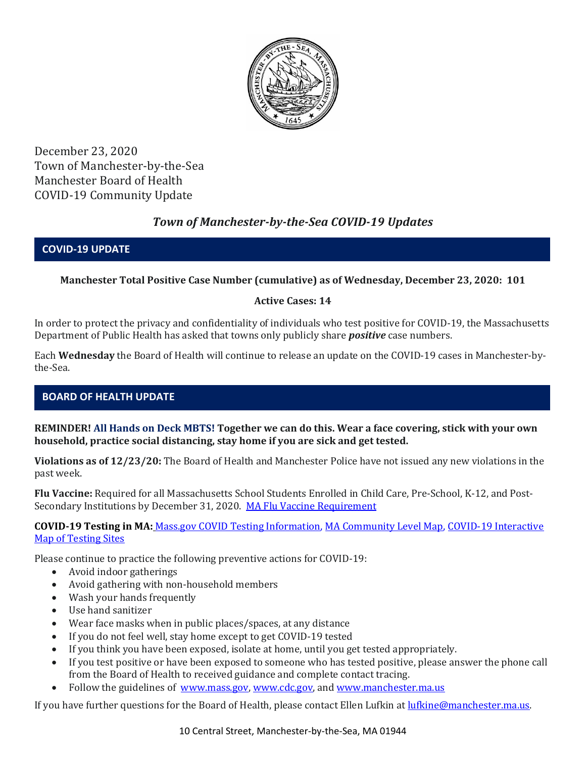

December 23, 2020 Town of Manchester-by-the-Sea Manchester Board of Health COVID-19 Community Update

# *Town of Manchester-by-the-Sea COVID-19 Updates*

### **COVID-19 UPDATE**

### **Manchester Total Positive Case Number (cumulative) as of Wednesday, December 23, 2020: 101**

### **Active Cases: 14**

In order to protect the privacy and confidentiality of individuals who test positive for COVID-19, the Massachusetts Department of Public Health has asked that towns only publicly share *positive* case numbers.

Each **Wednesday** the Board of Health will continue to release an update on the COVID-19 cases in Manchester-bythe-Sea.

## **BOARD OF HEALTH UPDATE**

**REMINDER! All Hands on Deck MBTS! Together we can do this. Wear a face covering, stick with your own household, practice social distancing, stay home if you are sick and get tested.** 

**Violations as of 12/23/20:** The Board of Health and Manchester Police have not issued any new violations in the past week.

**Flu Vaccine:** Required for all Massachusetts School Students Enrolled in Child Care, Pre-School, K-12, and Post-Secondary Institutions by December 31, 2020. [MA Flu Vaccine Requirement](https://www.mass.gov/news/flu-vaccine-now-required-for-all-massachusetts-school-students-enrolled-in-child-care-pre)

**COVID-19 Testing in MA:** [Mass.gov COVID Testing Information,](https://www.mass.gov/covid-19-testing) [MA Community Level Map,](https://www.mass.gov/info-details/community-level-covid-19-data-reporting) [COVID-19 Interactive](https://memamaps.maps.arcgis.com/apps/webappviewer/index.html?id=eba3f0395451430b9f631cb095febf13)  [Map of Testing Sites](https://memamaps.maps.arcgis.com/apps/webappviewer/index.html?id=eba3f0395451430b9f631cb095febf13)

Please continue to practice the following preventive actions for COVID-19:

- Avoid indoor gatherings
- Avoid gathering with non-household members
- Wash your hands frequently
- Use hand sanitizer
- Wear face masks when in public places/spaces, at any distance
- If you do not feel well, stay home except to get COVID-19 tested
- If you think you have been exposed, isolate at home, until you get tested appropriately.
- If you test positive or have been exposed to someone who has tested positive, please answer the phone call from the Board of Health to received guidance and complete contact tracing.
- Follow the guidelines of [www.mass.gov,](https://www.mass.gov/) [www.cdc.gov,](https://www.cdc.gov/) and [www.manchester.ma.us](http://www.manchester.ma.us/)

If you have further questions for the Board of Health, please contact Ellen Lufkin at [lufkine@manchester.ma.us.](mailto:lufkine@manchester.ma.us)

10 Central Street, Manchester-by-the-Sea, MA 01944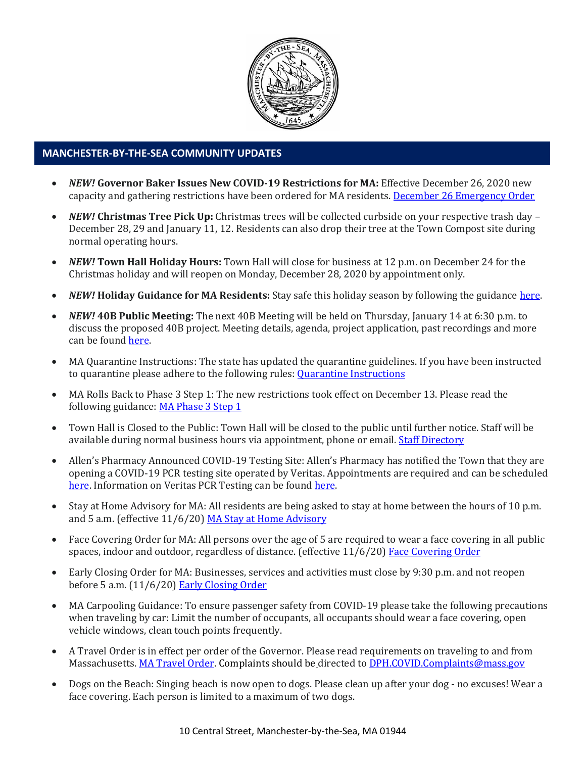

### **MANCHESTER-BY-THE-SEA COMMUNITY UPDATES**

- *NEW!* **Governor Baker Issues New COVID-19 Restrictions for MA:** Effective December 26, 2020 new capacity and gathering restrictions have been ordered for MA residents. [December 26 Emergency Order](http://manchester.ma.us/DocumentCenter/View/3582/1222-MA-emergency-order)
- *NEW!* **Christmas Tree Pick Up:** Christmas trees will be collected curbside on your respective trash day December 28, 29 and January 11, 12. Residents can also drop their tree at the Town Compost site during normal operating hours.
- *NEW!* **Town Hall Holiday Hours:** Town Hall will close for business at 12 p.m. on December 24 for the Christmas holiday and will reopen on Monday, December 28, 2020 by appointment only.
- *NEW!* **Holiday Guidance for MA Residents:** Stay safe this holiday season by following the guidance [here.](https://www.mass.gov/news/december-holiday-guidance)
- *NEW!* **40B Public Meeting:** The next 40B Meeting will be held on Thursday, January 14 at 6:30 p.m. to discuss the proposed 40B project. Meeting details, agenda, project application, past recordings and more can be foun[d here.](http://manchester.ma.us/729/40B)
- MA Quarantine Instructions: The state has updated the quarantine guidelines. If you have been instructed to quarantine please adhere to the following rules: Quarantine [Instructions](http://manchester.ma.us/DocumentCenter/View/3558/14-10-7-day-COVID19_Quarantine-information-1272020)
- MA Rolls Back to Phase 3 Step 1: The new restrictions took effect on December 13. Please read the following guidance: [MA Phase 3 Step 1](https://www.mass.gov/news/baker-polito-administration-announces-statewide-rollback-to-phase-three-step-one-additional)
- Town Hall is Closed to the Public: Town Hall will be closed to the public until further notice. Staff will be available during normal business hours via appointment, phone or email. [Staff Directory](http://manchester.ma.us/directory.aspx)
- Allen's Pharmacy Announced COVID-19 Testing Site: Allen's Pharmacy has notified the Town that they are opening a COVID-19 PCR testing site operated by Veritas. Appointments are required and can be scheduled [here.](https://schedule.veritasgenetics.com/) Information on Veritas PCR Testing can be found [here.](https://www.veritasgenetics.com/covid-molecular/)
- Stay at Home Advisory for MA: All residents are being asked to stay at home between the hours of 10 p.m. and 5 a.m. (effective 11/6/20) [MA Stay at Home Advisory](https://www.mass.gov/news/stay-at-home-advisory)
- Face Covering Order for MA: All persons over the age of 5 are required to wear a face covering in all public spaces, indoor and outdoor, regardless of distance. (effective 11/6/20) [Face Covering Order](http://manchester.ma.us/DocumentCenter/View/3499/Revised-Face-Coverings-Order-No-55-1?fbclid=IwAR1a7l39TKetEAZ_mA8K6saG2GZ1dRBKA9-xuJJ3tDlAVUGCp7YatZmCKEo)
- Early Closing Order for MA: Businesses, services and activities must close by 9:30 p.m. and not reopen before 5 a.m. (11/6/20) [Early Closing Order](http://manchester.ma.us/DocumentCenter/View/3497/Early-Closing-and-Alcohol-Order-No-53-1?fbclid=IwAR0HIJzh646XAhpCz_miIpRMdh-nd_BhPpuljf5k-rkQey8DCI-dVFIfMlk)
- MA Carpooling Guidance: To ensure passenger safety from COVID-19 please take the following precautions when traveling by car: Limit the number of occupants, all occupants should wear a face covering, open vehicle windows, clean touch points frequently.
- A Travel Order is in effect per order of the Governor. Please read requirements on traveling to and from Massachusetts. [MA Travel Order.](https://www.mass.gov/info-details/covid-19-travel-order) Complaints should be directed to [DPH.COVID.Complaints@mass.gov](mailto:DPH.COVID.Complaints@mass.gov)
- Dogs on the Beach: Singing beach is now open to dogs. Please clean up after your dog no excuses! Wear a face covering. Each person is limited to a maximum of two dogs.